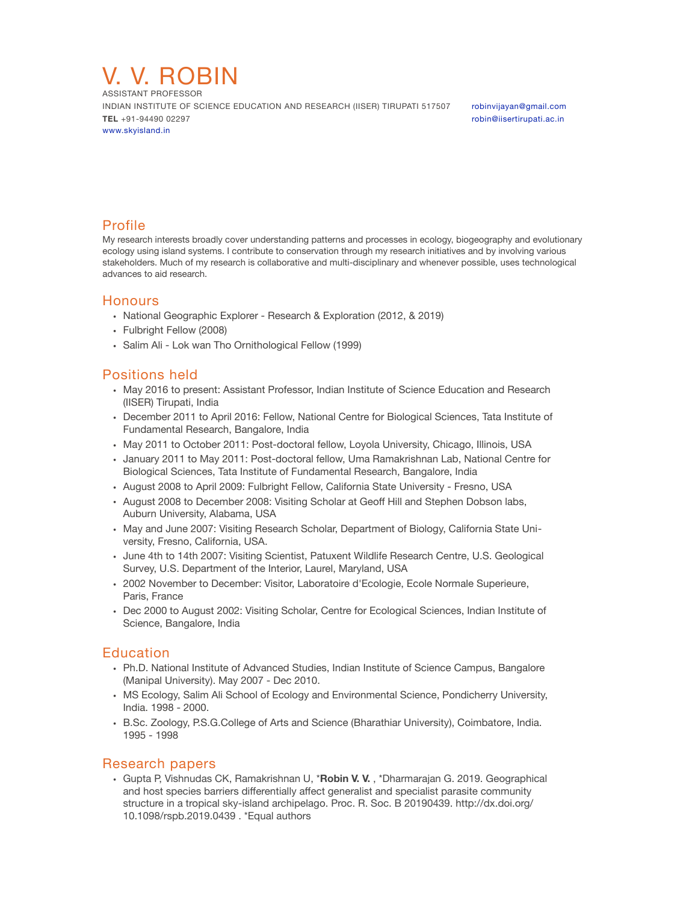

ASSISTANT PROFESSOR INDIAN INSTITUTE OF SCIENCE EDUCATION AND RESEARCH (IISER) TIRUPATI 517507 [robinvijayan@gmail.com](mailto:robinvijayan@gmail.com) **TEL** +91-94490 02297 *CLL 191-94490 02297 CLL 191-94490 02297* [www.skyisland.in](http://www.tinyurl.com/robinv)

# Profile

My research interests broadly cover understanding patterns and processes in ecology, biogeography and evolutionary ecology using island systems. I contribute to conservation through my research initiatives and by involving various stakeholders. Much of my research is collaborative and multi-disciplinary and whenever possible, uses technological advances to aid research.

### **Honours**

- National Geographic Explorer Research & Exploration (2012, & 2019)
- Fulbright Fellow (2008)
- Salim Ali Lok wan Tho Ornithological Fellow (1999)

# Positions held

- May 2016 to present: Assistant Professor, Indian Institute of Science Education and Research (IISER) Tirupati, India
- December 2011 to April 2016: Fellow, National Centre for Biological Sciences, Tata Institute of Fundamental Research, Bangalore, India
- May 2011 to October 2011: Post-doctoral fellow, Loyola University, Chicago, Illinois, USA
- January 2011 to May 2011: Post-doctoral fellow, Uma Ramakrishnan Lab, National Centre for Biological Sciences, Tata Institute of Fundamental Research, Bangalore, India
- August 2008 to April 2009: Fulbright Fellow, California State University Fresno, USA
- August 2008 to December 2008: Visiting Scholar at Geoff Hill and Stephen Dobson labs, Auburn University, Alabama, USA
- May and June 2007: Visiting Research Scholar, Department of Biology, California State University, Fresno, California, USA.
- June 4th to 14th 2007: Visiting Scientist, Patuxent Wildlife Research Centre, U.S. Geological Survey, U.S. Department of the Interior, Laurel, Maryland, USA
- 2002 November to December: Visitor, Laboratoire d'Ecologie, Ecole Normale Superieure, Paris, France
- Dec 2000 to August 2002: Visiting Scholar, Centre for Ecological Sciences, Indian Institute of Science, Bangalore, India

## Education

- Ph.D. National Institute of Advanced Studies, Indian Institute of Science Campus, Bangalore (Manipal University). May 2007 - Dec 2010.
- MS Ecology, Salim Ali School of Ecology and Environmental Science, Pondicherry University, India. 1998 - 2000.
- B.Sc. Zoology, P.S.G.College of Arts and Science (Bharathiar University), Coimbatore, India. 1995 - 1998

### Research papers

• Gupta P, Vishnudas CK, Ramakrishnan U, \***Robin V. V.** , \*Dharmarajan G. 2019. Geographical and host species barriers differentially affect generalist and specialist parasite community structure in a tropical sky-island archipelago. Proc. R. Soc. B 20190439. http://dx.doi.org/ 10.1098/rspb.2019.0439 . \*Equal authors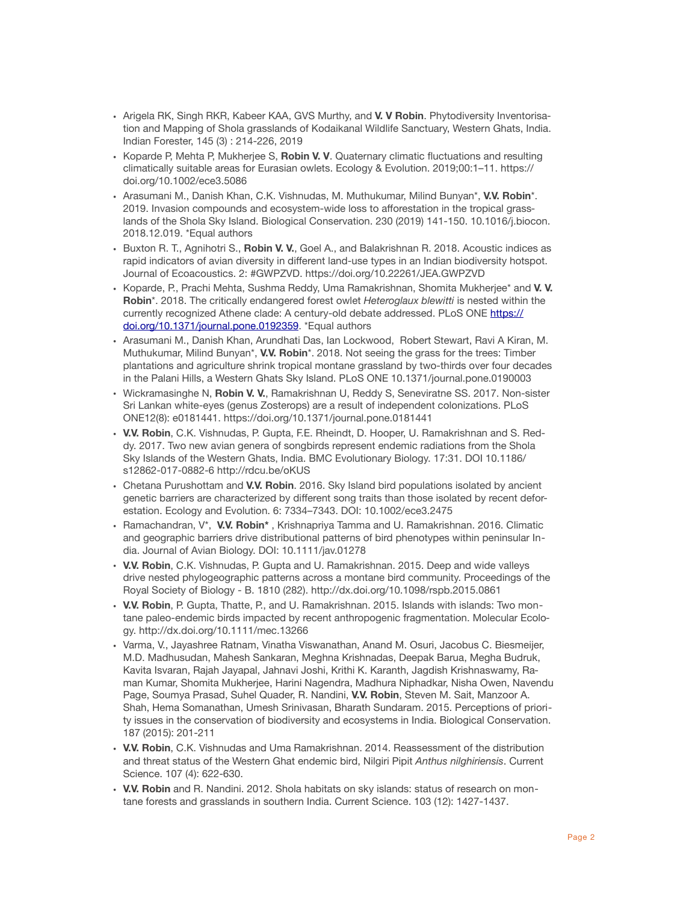- Arigela RK, Singh RKR, Kabeer KAA, GVS Murthy, and **V. V Robin**. Phytodiversity Inventorisation and Mapping of Shola grasslands of Kodaikanal Wildlife Sanctuary, Western Ghats, India. Indian Forester, 145 (3) : 214-226, 2019
- Koparde P, Mehta P, Mukherjee S, **Robin V. V**. Quaternary climatic fluctuations and resulting climatically suitable areas for Eurasian owlets. Ecology & Evolution. 2019;00:1–11. https:// doi.org/10.1002/ece3.5086
- Arasumani M., Danish Khan, C.K. Vishnudas, M. Muthukumar, Milind Bunyan\*, **V.V. Robin**\*. 2019. Invasion compounds and ecosystem-wide loss to afforestation in the tropical grasslands of the Shola Sky Island. Biological Conservation. 230 (2019) 141-150. 10.1016/j.biocon. 2018.12.019. \*Equal authors
- Buxton R. T., Agnihotri S., **Robin V. V.**, Goel A., and Balakrishnan R. 2018. Acoustic indices as rapid indicators of avian diversity in different land-use types in an Indian biodiversity hotspot. Journal of Ecoacoustics. 2: #GWPZVD. https://doi.org/10.22261/JEA.GWPZVD
- Koparde, P., Prachi Mehta, Sushma Reddy, Uma Ramakrishnan, Shomita Mukherjee\* and **V. V. Robin**\*. 2018. The critically endangered forest owlet *Heteroglaux blewitti* is nested within the currently recognized Athene clade: A century-old debate addressed. PLoS ONE [https://](https://doi.org/10.1371/journal.pone.0192359) [doi.org/10.1371/journal.pone.0192359](https://doi.org/10.1371/journal.pone.0192359). \*Equal authors
- Arasumani M., Danish Khan, Arundhati Das, Ian Lockwood, Robert Stewart, Ravi A Kiran, M. Muthukumar, Milind Bunyan\*, **V.V. Robin**\*. 2018. Not seeing the grass for the trees: Timber plantations and agriculture shrink tropical montane grassland by two-thirds over four decades in the Palani Hills, a Western Ghats Sky Island. PLoS ONE 10.1371/journal.pone.0190003
- Wickramasinghe N, **Robin V. V.**, Ramakrishnan U, Reddy S, Seneviratne SS. 2017. Non-sister Sri Lankan white-eyes (genus Zosterops) are a result of independent colonizations. PLoS ONE12(8): e0181441. https://doi.org/10.1371/journal.pone.0181441
- **V.V. Robin**, C.K. Vishnudas, P. Gupta, F.E. Rheindt, D. Hooper, U. Ramakrishnan and S. Reddy. 2017. Two new avian genera of songbirds represent endemic radiations from the Shola Sky Islands of the Western Ghats, India. BMC Evolutionary Biology. 17:31. DOI 10.1186/ s12862-017-0882-6 http://rdcu.be/oKUS
- Chetana Purushottam and **V.V. Robin**. 2016. Sky Island bird populations isolated by ancient genetic barriers are characterized by different song traits than those isolated by recent deforestation. Ecology and Evolution. 6: 7334–7343. DOI: 10.1002/ece3.2475
- Ramachandran, V\*, **V.V. Robin\*** , Krishnapriya Tamma and U. Ramakrishnan. 2016. Climatic and geographic barriers drive distributional patterns of bird phenotypes within peninsular India. Journal of Avian Biology. DOI: 10.1111/jav.01278
- **V.V. Robin**, C.K. Vishnudas, P. Gupta and U. Ramakrishnan. 2015. Deep and wide valleys drive nested phylogeographic patterns across a montane bird community. Proceedings of the Royal Society of Biology - B. 1810 (282). http://dx.doi.org/10.1098/rspb.2015.0861
- **V.V. Robin**, P. Gupta, Thatte, P., and U. Ramakrishnan. 2015. Islands with islands: Two montane paleo-endemic birds impacted by recent anthropogenic fragmentation. Molecular Ecology. http://dx.doi.org/10.1111/mec.13266
- Varma, V., Jayashree Ratnam, Vinatha Viswanathan, Anand M. Osuri, Jacobus C. Biesmeijer, M.D. Madhusudan, Mahesh Sankaran, Meghna Krishnadas, Deepak Barua, Megha Budruk, Kavita Isvaran, Rajah Jayapal, Jahnavi Joshi, Krithi K. Karanth, Jagdish Krishnaswamy, Raman Kumar, Shomita Mukherjee, Harini Nagendra, Madhura Niphadkar, Nisha Owen, Navendu Page, Soumya Prasad, Suhel Quader, R. Nandini, **V.V. Robin**, Steven M. Sait, Manzoor A. Shah, Hema Somanathan, Umesh Srinivasan, Bharath Sundaram. 2015. Perceptions of priority issues in the conservation of biodiversity and ecosystems in India. Biological Conservation. 187 (2015): 201-211
- **V.V. Robin**, C.K. Vishnudas and Uma Ramakrishnan. 2014. Reassessment of the distribution and threat status of the Western Ghat endemic bird, Nilgiri Pipit *Anthus nilghiriensis*. Current Science. 107 (4): 622-630.
- **V.V. Robin** and R. Nandini. 2012. Shola habitats on sky islands: status of research on montane forests and grasslands in southern India. Current Science. 103 (12): 1427-1437.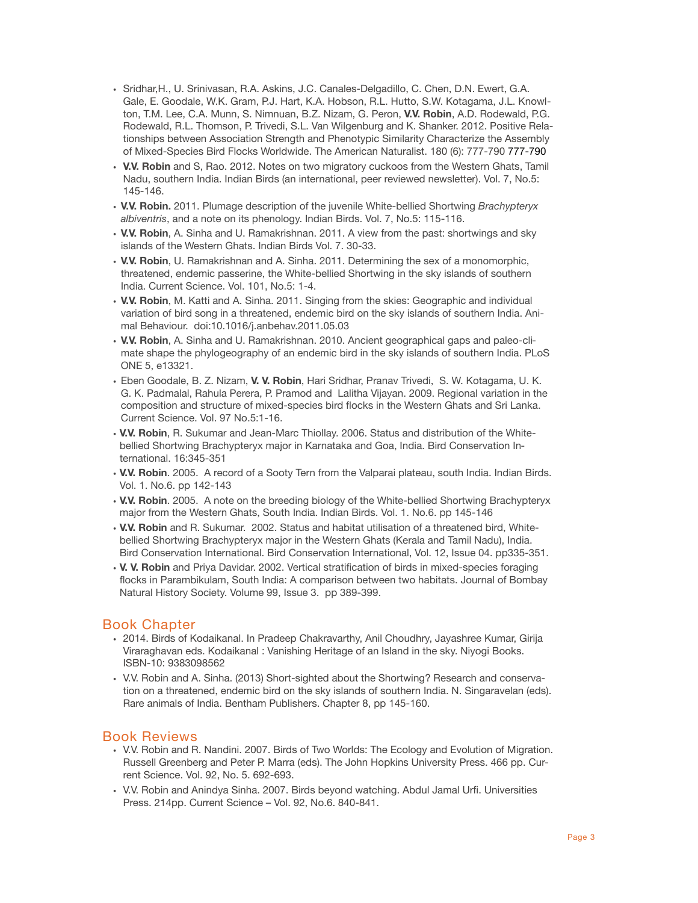- Sridhar,H., U. Srinivasan, R.A. Askins, J.C. Canales-Delgadillo, C. Chen, D.N. Ewert, G.A. Gale, E. Goodale, W.K. Gram, P.J. Hart, K.A. Hobson, R.L. Hutto, S.W. Kotagama, J.L. Knowlton, T.M. Lee, C.A. Munn, S. Nimnuan, B.Z. Nizam, G. Peron, **V.V. Robin**, A.D. Rodewald, P.G. Rodewald, R.L. Thomson, P. Trivedi, S.L. Van Wilgenburg and K. Shanker. 2012. Positive Relationships between Association Strength and Phenotypic Similarity Characterize the Assembly of Mixed-Species Bird Flocks Worldwide. The American Naturalist. 180 (6): 777-790 777-790
- **V.V. Robin** and S, Rao. 2012. Notes on two migratory cuckoos from the Western Ghats, Tamil Nadu, southern India. Indian Birds (an international, peer reviewed newsletter). Vol. 7, No.5: 145-146.
- **V.V. Robin.** 2011. Plumage description of the juvenile White-bellied Shortwing *Brachypteryx albiventris*, and a note on its phenology. Indian Birds. Vol. 7, No.5: 115-116.
- **V.V. Robin**, A. Sinha and U. Ramakrishnan. 2011. A view from the past: shortwings and sky islands of the Western Ghats. Indian Birds Vol. 7. 30-33.
- **V.V. Robin**, U. Ramakrishnan and A. Sinha. 2011. Determining the sex of a monomorphic, threatened, endemic passerine, the White-bellied Shortwing in the sky islands of southern India. Current Science. Vol. 101, No.5: 1-4.
- **V.V. Robin**, M. Katti and A. Sinha. 2011. Singing from the skies: Geographic and individual variation of bird song in a threatened, endemic bird on the sky islands of southern India. Animal Behaviour. doi:10.1016/j.anbehav.2011.05.03
- **V.V. Robin**, A. Sinha and U. Ramakrishnan. 2010. Ancient geographical gaps and paleo-climate shape the phylogeography of an endemic bird in the sky islands of southern India. PLoS ONE 5, e13321.
- Eben Goodale, B. Z. Nizam, **V. V. Robin**, Hari Sridhar, Pranav Trivedi, S. W. Kotagama, U. K. G. K. Padmalal, Rahula Perera, P. Pramod and Lalitha Vijayan. 2009. Regional variation in the composition and structure of mixed-species bird flocks in the Western Ghats and Sri Lanka. Current Science. Vol. 97 No.5:1-16.
- **V.V. Robin**, R. Sukumar and Jean-Marc Thiollay. 2006. Status and distribution of the Whitebellied Shortwing Brachypteryx major in Karnataka and Goa, India. Bird Conservation International. 16:345-351
- **V.V. Robin**. 2005. A record of a Sooty Tern from the Valparai plateau, south India. Indian Birds. Vol. 1. No.6. pp 142-143
- **V.V. Robin**. 2005. A note on the breeding biology of the White-bellied Shortwing Brachypteryx major from the Western Ghats, South India. Indian Birds. Vol. 1. No.6. pp 145-146
- **V.V. Robin** and R. Sukumar. 2002. Status and habitat utilisation of a threatened bird, Whitebellied Shortwing Brachypteryx major in the Western Ghats (Kerala and Tamil Nadu), India. Bird Conservation International. Bird Conservation International, Vol. 12, Issue 04. pp335-351.
- **V. V. Robin** and Priya Davidar. 2002. Vertical stratification of birds in mixed-species foraging flocks in Parambikulam, South India: A comparison between two habitats. Journal of Bombay Natural History Society. Volume 99, Issue 3. pp 389-399.

### Book Chapter

- 2014. Birds of Kodaikanal. In Pradeep Chakravarthy, Anil Choudhry, Jayashree Kumar, Girija Viraraghavan eds. Kodaikanal : Vanishing Heritage of an Island in the sky. Niyogi Books. ISBN-10: 9383098562
- V.V. Robin and A. Sinha. (2013) Short-sighted about the Shortwing? Research and conservation on a threatened, endemic bird on the sky islands of southern India. N. Singaravelan (eds). Rare animals of India. Bentham Publishers. Chapter 8, pp 145-160.

### Book Reviews

- V.V. Robin and R. Nandini. 2007. Birds of Two Worlds: The Ecology and Evolution of Migration. Russell Greenberg and Peter P. Marra (eds). The John Hopkins University Press. 466 pp. Current Science. Vol. 92, No. 5. 692-693.
- V.V. Robin and Anindya Sinha. 2007. Birds beyond watching. Abdul Jamal Urfi. Universities Press. 214pp. Current Science – Vol. 92, No.6. 840-841.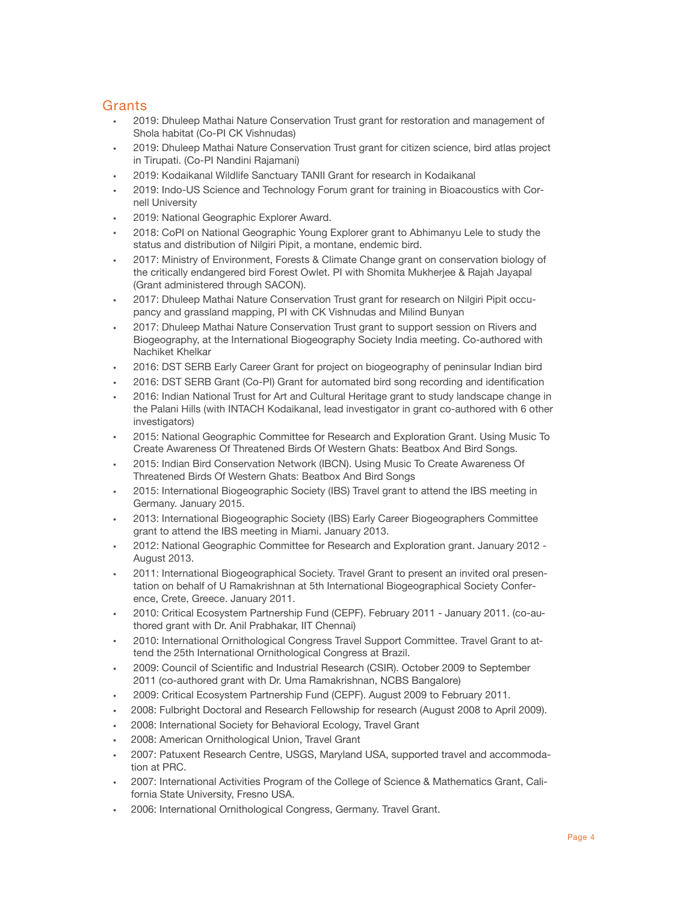# **Grants**

- 2019: Dhuleep Mathai Nature Conservation Trust grant for restoration and management of Shola habitat (Co-PI CK Vishnudas)
- 2019: Dhuleep Mathai Nature Conservation Trust grant for citizen science, bird atlas project in Tirupati. (Co-PI Nandini Rajamani)
- 2019: Kodaikanal Wildlife Sanctuary TANII Grant for research in Kodaikanal
- 2019: Indo-US Science and Technology Forum grant for training in Bioacoustics with Cornell University
- 2019: National Geographic Explorer Award.
- 2018: CoPI on National Geographic Young Explorer grant to Abhimanyu Lele to study the status and distribution of Nilgiri Pipit, a montane, endemic bird.
- 2017: Ministry of Environment, Forests & Climate Change grant on conservation biology of the critically endangered bird Forest Owlet. PI with Shomita Mukherjee & Rajah Jayapal (Grant administered through SACON).
- 2017: Dhuleep Mathai Nature Conservation Trust grant for research on Nilgiri Pipit occupancy and grassland mapping, PI with CK Vishnudas and Milind Bunyan
- 2017: Dhuleep Mathai Nature Conservation Trust grant to support session on Rivers and Biogeography, at the International Biogeography Society India meeting. Co-authored with Nachiket Khelkar
- 2016: DST SERB Early Career Grant for project on biogeography of peninsular Indian bird
- 2016: DST SERB Grant (Co-PI) Grant for automated bird song recording and identification
- 2016: Indian National Trust for Art and Cultural Heritage grant to study landscape change in the Palani Hills (with INTACH Kodaikanal, lead investigator in grant co-authored with 6 other investigators)
- 2015: National Geographic Committee for Research and Exploration Grant. Using Music To Create Awareness Of Threatened Birds Of Western Ghats: Beatbox And Bird Songs.
- 2015: Indian Bird Conservation Network (IBCN). Using Music To Create Awareness Of Threatened Birds Of Western Ghats: Beatbox And Bird Songs
- 2015: International Biogeographic Society (IBS) Travel grant to attend the IBS meeting in Germany. January 2015.
- 2013: International Biogeographic Society (IBS) Early Career Biogeographers Committee grant to attend the IBS meeting in Miami. January 2013.
- 2012: National Geographic Committee for Research and Exploration grant. January 2012 August 2013.
- 2011: International Biogeographical Society. Travel Grant to present an invited oral presentation on behalf of U Ramakrishnan at 5th International Biogeographical Society Conference, Crete, Greece. January 2011.
- 2010: Critical Ecosystem Partnership Fund (CEPF). February 2011 January 2011. (co-authored grant with Dr. Anil Prabhakar, IIT Chennai)
- 2010: International Ornithological Congress Travel Support Committee. Travel Grant to attend the 25th International Ornithological Congress at Brazil.
- 2009: Council of Scientific and Industrial Research (CSIR). October 2009 to September 2011 (co-authored grant with Dr. Uma Ramakrishnan, NCBS Bangalore)
- 2009: Critical Ecosystem Partnership Fund (CEPF). August 2009 to February 2011.
- 2008: Fulbright Doctoral and Research Fellowship for research (August 2008 to April 2009).
- 2008: International Society for Behavioral Ecology, Travel Grant
- 2008: American Ornithological Union, Travel Grant
- 2007: Patuxent Research Centre, USGS, Maryland USA, supported travel and accommodation at PRC.
- 2007: International Activities Program of the College of Science & Mathematics Grant, California State University, Fresno USA.
- 2006: International Ornithological Congress, Germany. Travel Grant.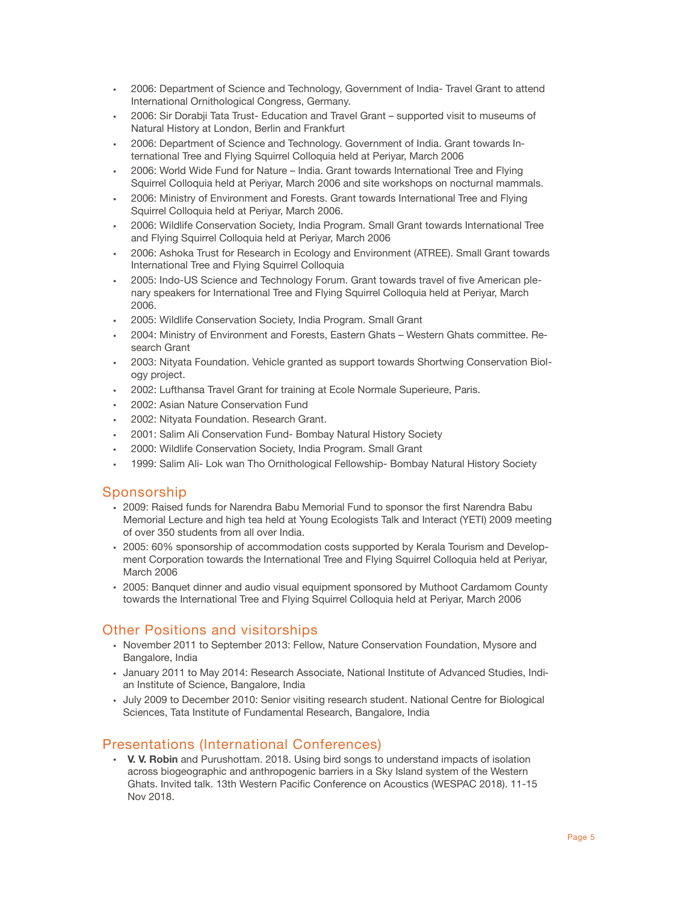- 2006: Department of Science and Technology, Government of India- Travel Grant to attend International Ornithological Congress, Germany.
- 2006: Sir Dorabji Tata Trust- Education and Travel Grant supported visit to museums of Natural History at London, Berlin and Frankfurt
- 2006: Department of Science and Technology. Government of India. Grant towards International Tree and Flying Squirrel Colloquia held at Periyar, March 2006
- 2006: World Wide Fund for Nature India. Grant towards International Tree and Flying Squirrel Colloquia held at Periyar, March 2006 and site workshops on nocturnal mammals.
- 2006: Ministry of Environment and Forests. Grant towards International Tree and Flying Squirrel Colloquia held at Periyar, March 2006.
- 2006: Wildlife Conservation Society, India Program. Small Grant towards International Tree and Flying Squirrel Colloquia held at Periyar, March 2006
- 2006: Ashoka Trust for Research in Ecology and Environment (ATREE). Small Grant towards International Tree and Flying Squirrel Colloquia
- 2005: Indo-US Science and Technology Forum. Grant towards travel of five American plenary speakers for International Tree and Flying Squirrel Colloquia held at Periyar, March 2006.
- 2005: Wildlife Conservation Society, India Program. Small Grant
- 2004: Ministry of Environment and Forests, Eastern Ghats Western Ghats committee. Research Grant
- 2003: Nityata Foundation. Vehicle granted as support towards Shortwing Conservation Biology project.
- 2002: Lufthansa Travel Grant for training at Ecole Normale Superieure, Paris.
- 2002: Asian Nature Conservation Fund
- 2002: Nityata Foundation. Research Grant.
- 2001: Salim Ali Conservation Fund- Bombay Natural History Society
- 2000: Wildlife Conservation Society, India Program. Small Grant
- 1999: Salim Ali- Lok wan Tho Ornithological Fellowship- Bombay Natural History Society

### Sponsorship

- 2009: Raised funds for Narendra Babu Memorial Fund to sponsor the first Narendra Babu Memorial Lecture and high tea held at Young Ecologists Talk and Interact (YETI) 2009 meeting of over 350 students from all over India.
- 2005: 60% sponsorship of accommodation costs supported by Kerala Tourism and Development Corporation towards the International Tree and Flying Squirrel Colloquia held at Periyar, March 2006
- 2005: Banquet dinner and audio visual equipment sponsored by Muthoot Cardamom County towards the International Tree and Flying Squirrel Colloquia held at Periyar, March 2006

# Other Positions and visitorships

- November 2011 to September 2013: Fellow, Nature Conservation Foundation, Mysore and Bangalore, India
- January 2011 to May 2014: Research Associate, National Institute of Advanced Studies, Indian Institute of Science, Bangalore, India
- July 2009 to December 2010: Senior visiting research student. National Centre for Biological Sciences, Tata Institute of Fundamental Research, Bangalore, India

## Presentations (International Conferences)

• **V. V. Robin** and Purushottam. 2018. Using bird songs to understand impacts of isolation across biogeographic and anthropogenic barriers in a Sky Island system of the Western Ghats. Invited talk. 13th Western Pacific Conference on Acoustics (WESPAC 2018). 11-15 Nov 2018.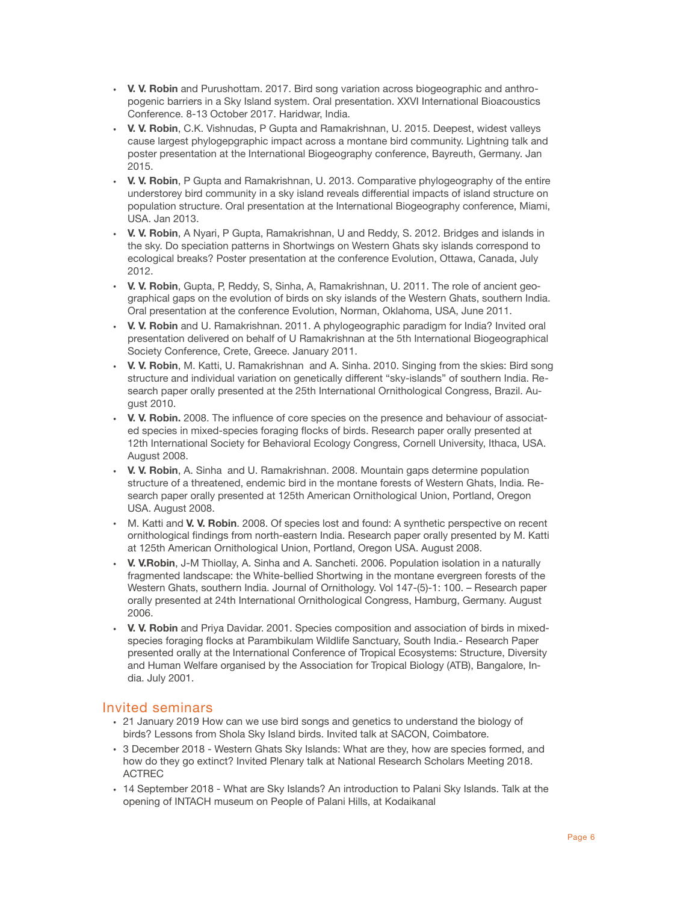- **V. V. Robin** and Purushottam. 2017. Bird song variation across biogeographic and anthropogenic barriers in a Sky Island system. Oral presentation. XXVI International Bioacoustics Conference. 8-13 October 2017. Haridwar, India.
- **V. V. Robin**, C.K. Vishnudas, P Gupta and Ramakrishnan, U. 2015. Deepest, widest valleys cause largest phylogepgraphic impact across a montane bird community. Lightning talk and poster presentation at the International Biogeography conference, Bayreuth, Germany. Jan 2015.
- **V. V. Robin**, P Gupta and Ramakrishnan, U. 2013. Comparative phylogeography of the entire understorey bird community in a sky island reveals differential impacts of island structure on population structure. Oral presentation at the International Biogeography conference, Miami, USA. Jan 2013.
- **V. V. Robin**, A Nyari, P Gupta, Ramakrishnan, U and Reddy, S. 2012. Bridges and islands in the sky. Do speciation patterns in Shortwings on Western Ghats sky islands correspond to ecological breaks? Poster presentation at the conference Evolution, Ottawa, Canada, July 2012.
- **V. V. Robin**, Gupta, P, Reddy, S, Sinha, A, Ramakrishnan, U. 2011. The role of ancient geographical gaps on the evolution of birds on sky islands of the Western Ghats, southern India. Oral presentation at the conference Evolution, Norman, Oklahoma, USA, June 2011.
- **V. V. Robin** and U. Ramakrishnan. 2011. A phylogeographic paradigm for India? Invited oral presentation delivered on behalf of U Ramakrishnan at the 5th International Biogeographical Society Conference, Crete, Greece. January 2011.
- **V. V. Robin**, M. Katti, U. Ramakrishnan and A. Sinha. 2010. Singing from the skies: Bird song structure and individual variation on genetically different "sky-islands" of southern India. Research paper orally presented at the 25th International Ornithological Congress, Brazil. August 2010.
- **V. V. Robin.** 2008. The influence of core species on the presence and behaviour of associated species in mixed-species foraging flocks of birds. Research paper orally presented at 12th International Society for Behavioral Ecology Congress, Cornell University, Ithaca, USA. August 2008.
- **V. V. Robin**, A. Sinha and U. Ramakrishnan. 2008. Mountain gaps determine population structure of a threatened, endemic bird in the montane forests of Western Ghats, India. Research paper orally presented at 125th American Ornithological Union, Portland, Oregon USA. August 2008.
- M. Katti and **V. V. Robin**. 2008. Of species lost and found: A synthetic perspective on recent ornithological findings from north-eastern India. Research paper orally presented by M. Katti at 125th American Ornithological Union, Portland, Oregon USA. August 2008.
- **V. V.Robin**, J-M Thiollay, A. Sinha and A. Sancheti. 2006. Population isolation in a naturally fragmented landscape: the White-bellied Shortwing in the montane evergreen forests of the Western Ghats, southern India. Journal of Ornithology. Vol 147-(5)-1: 100. – Research paper orally presented at 24th International Ornithological Congress, Hamburg, Germany. August 2006.
- **V. V. Robin** and Priya Davidar. 2001. Species composition and association of birds in mixedspecies foraging flocks at Parambikulam Wildlife Sanctuary, South India.- Research Paper presented orally at the International Conference of Tropical Ecosystems: Structure, Diversity and Human Welfare organised by the Association for Tropical Biology (ATB), Bangalore, India. July 2001.

# Invited seminars

- 21 January 2019 How can we use bird songs and genetics to understand the biology of birds? Lessons from Shola Sky Island birds. Invited talk at SACON, Coimbatore.
- 3 December 2018 Western Ghats Sky Islands: What are they, how are species formed, and how do they go extinct? Invited Plenary talk at National Research Scholars Meeting 2018. ACTREC
- 14 September 2018 What are Sky Islands? An introduction to Palani Sky Islands. Talk at the opening of INTACH museum on People of Palani Hills, at Kodaikanal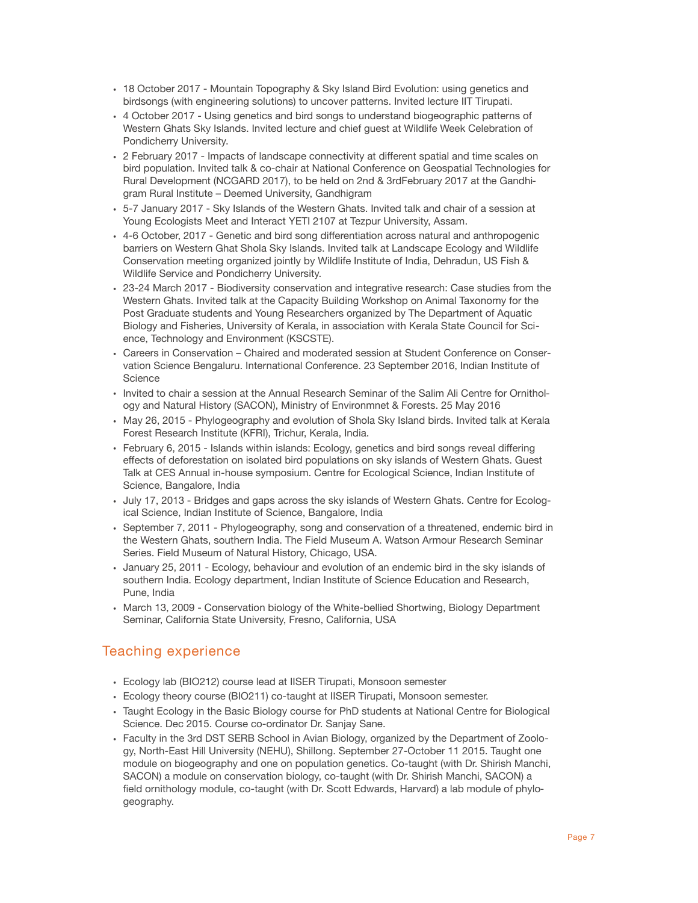- 18 October 2017 Mountain Topography & Sky Island Bird Evolution: using genetics and birdsongs (with engineering solutions) to uncover patterns. Invited lecture IIT Tirupati.
- 4 October 2017 Using genetics and bird songs to understand biogeographic patterns of Western Ghats Sky Islands. Invited lecture and chief guest at Wildlife Week Celebration of Pondicherry University.
- 2 February 2017 Impacts of landscape connectivity at different spatial and time scales on bird population. Invited talk & co-chair at National Conference on Geospatial Technologies for Rural Development (NCGARD 2017), to be held on 2nd & 3rdFebruary 2017 at the Gandhigram Rural Institute – Deemed University, Gandhigram
- 5-7 January 2017 Sky Islands of the Western Ghats. Invited talk and chair of a session at Young Ecologists Meet and Interact YETI 2107 at Tezpur University, Assam.
- 4-6 October, 2017 Genetic and bird song differentiation across natural and anthropogenic barriers on Western Ghat Shola Sky Islands. Invited talk at Landscape Ecology and Wildlife Conservation meeting organized jointly by Wildlife Institute of India, Dehradun, US Fish & Wildlife Service and Pondicherry University.
- 23-24 March 2017 Biodiversity conservation and integrative research: Case studies from the Western Ghats. Invited talk at the Capacity Building Workshop on Animal Taxonomy for the Post Graduate students and Young Researchers organized by The Department of Aquatic Biology and Fisheries, University of Kerala, in association with Kerala State Council for Science, Technology and Environment (KSCSTE).
- Careers in Conservation Chaired and moderated session at Student Conference on Conservation Science Bengaluru. International Conference. 23 September 2016, Indian Institute of Science
- Invited to chair a session at the Annual Research Seminar of the Salim Ali Centre for Ornithology and Natural History (SACON), Ministry of Environmnet & Forests. 25 May 2016
- May 26, 2015 Phylogeography and evolution of Shola Sky Island birds. Invited talk at Kerala Forest Research Institute (KFRI), Trichur, Kerala, India.
- February 6, 2015 Islands within islands: Ecology, genetics and bird songs reveal differing effects of deforestation on isolated bird populations on sky islands of Western Ghats. Guest Talk at CES Annual in-house symposium. Centre for Ecological Science, Indian Institute of Science, Bangalore, India
- July 17, 2013 Bridges and gaps across the sky islands of Western Ghats. Centre for Ecological Science, Indian Institute of Science, Bangalore, India
- September 7, 2011 Phylogeography, song and conservation of a threatened, endemic bird in the Western Ghats, southern India. The Field Museum A. Watson Armour Research Seminar Series. Field Museum of Natural History, Chicago, USA.
- January 25, 2011 Ecology, behaviour and evolution of an endemic bird in the sky islands of southern India. Ecology department, Indian Institute of Science Education and Research, Pune, India
- March 13, 2009 Conservation biology of the White-bellied Shortwing, Biology Department Seminar, California State University, Fresno, California, USA

# Teaching experience

- Ecology lab (BIO212) course lead at IISER Tirupati, Monsoon semester
- Ecology theory course (BIO211) co-taught at IISER Tirupati, Monsoon semester.
- Taught Ecology in the Basic Biology course for PhD students at National Centre for Biological Science. Dec 2015. Course co-ordinator Dr. Sanjay Sane.
- Faculty in the 3rd DST SERB School in Avian Biology, organized by the Department of Zoology, North-East Hill University (NEHU), Shillong. September 27-October 11 2015. Taught one module on biogeography and one on population genetics. Co-taught (with Dr. Shirish Manchi, SACON) a module on conservation biology, co-taught (with Dr. Shirish Manchi, SACON) a field ornithology module, co-taught (with Dr. Scott Edwards, Harvard) a lab module of phylogeography.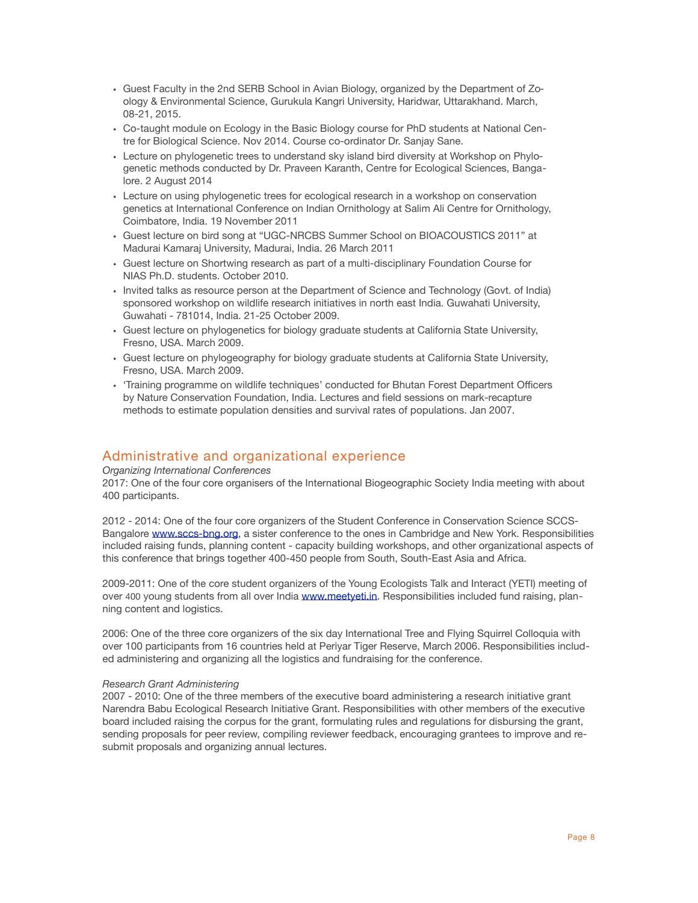- Guest Faculty in the 2nd SERB School in Avian Biology, organized by the Department of Zoology & Environmental Science, Gurukula Kangri University, Haridwar, Uttarakhand. March, 08-21, 2015.
- Co-taught module on Ecology in the Basic Biology course for PhD students at National Centre for Biological Science. Nov 2014. Course co-ordinator Dr. Sanjay Sane.
- Lecture on phylogenetic trees to understand sky island bird diversity at Workshop on Phylogenetic methods conducted by Dr. Praveen Karanth, Centre for Ecological Sciences, Bangalore. 2 August 2014
- Lecture on using phylogenetic trees for ecological research in a workshop on conservation genetics at International Conference on Indian Ornithology at Salim Ali Centre for Ornithology, Coimbatore, India. 19 November 2011
- Guest lecture on bird song at "UGC-NRCBS Summer School on BIOACOUSTICS 2011" at Madurai Kamaraj University, Madurai, India. 26 March 2011
- Guest lecture on Shortwing research as part of a multi-disciplinary Foundation Course for NIAS Ph.D. students. October 2010.
- Invited talks as resource person at the Department of Science and Technology (Govt. of India) sponsored workshop on wildlife research initiatives in north east India. Guwahati University, Guwahati - 781014, India. 21-25 October 2009.
- Guest lecture on phylogenetics for biology graduate students at California State University, Fresno, USA. March 2009.
- Guest lecture on phylogeography for biology graduate students at California State University, Fresno, USA. March 2009.
- 'Training programme on wildlife techniques' conducted for Bhutan Forest Department Officers by Nature Conservation Foundation, India. Lectures and field sessions on mark-recapture methods to estimate population densities and survival rates of populations. Jan 2007.

## Administrative and organizational experience

#### *Organizing International Conferences*

2017: One of the four core organisers of the International Biogeographic Society India meeting with about 400 participants.

2012 - 2014: One of the four core organizers of the Student Conference in Conservation Science SCCSBangalore [www.sccs-bng.org](http://www.sccs-bng.org), a sister conference to the ones in Cambridge and New York. Responsibilities included raising funds, planning content - capacity building workshops, and other organizational aspects of this conference that brings together 400-450 people from South, South-East Asia and Africa.

2009-2011: One of the core student organizers of the Young Ecologists Talk and Interact (YETI) meeting of over 400 young students from all over India [www.meetyeti.in](http://www.meetyeti.in). Responsibilities included fund raising, planning content and logistics.

2006: One of the three core organizers of the six day International Tree and Flying Squirrel Colloquia with over 100 participants from 16 countries held at Periyar Tiger Reserve, March 2006. Responsibilities included administering and organizing all the logistics and fundraising for the conference.

#### *Research Grant Administering*

2007 - 2010: One of the three members of the executive board administering a research initiative grant Narendra Babu Ecological Research Initiative Grant. Responsibilities with other members of the executive board included raising the corpus for the grant, formulating rules and regulations for disbursing the grant, sending proposals for peer review, compiling reviewer feedback, encouraging grantees to improve and resubmit proposals and organizing annual lectures.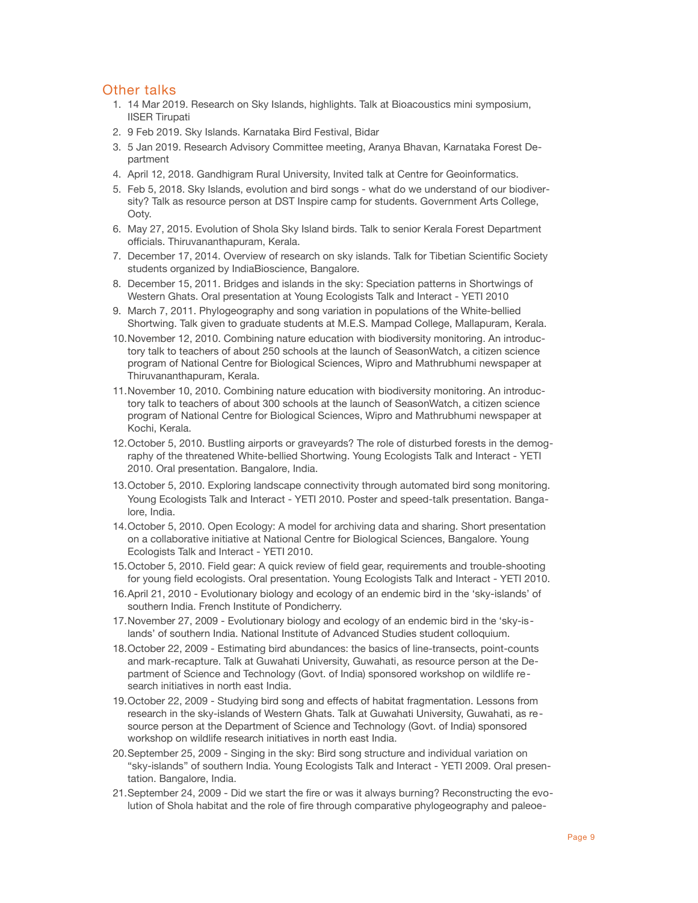## Other talks

- 1. 14 Mar 2019. Research on Sky Islands, highlights. Talk at Bioacoustics mini symposium, IISER Tirupati
- 2. 9 Feb 2019. Sky Islands. Karnataka Bird Festival, Bidar
- 3. 5 Jan 2019. Research Advisory Committee meeting, Aranya Bhavan, Karnataka Forest Department
- 4. April 12, 2018. Gandhigram Rural University, Invited talk at Centre for Geoinformatics.
- 5. Feb 5, 2018. Sky Islands, evolution and bird songs what do we understand of our biodiversity? Talk as resource person at DST Inspire camp for students. Government Arts College, Ooty.
- 6. May 27, 2015. Evolution of Shola Sky Island birds. Talk to senior Kerala Forest Department officials. Thiruvananthapuram, Kerala.
- 7. December 17, 2014. Overview of research on sky islands. Talk for Tibetian Scientific Society students organized by IndiaBioscience, Bangalore.
- 8. December 15, 2011. Bridges and islands in the sky: Speciation patterns in Shortwings of Western Ghats. Oral presentation at Young Ecologists Talk and Interact - YETI 2010
- 9. March 7, 2011. Phylogeography and song variation in populations of the White-bellied Shortwing. Talk given to graduate students at M.E.S. Mampad College, Mallapuram, Kerala.
- 10.November 12, 2010. Combining nature education with biodiversity monitoring. An introductory talk to teachers of about 250 schools at the launch of SeasonWatch, a citizen science program of National Centre for Biological Sciences, Wipro and Mathrubhumi newspaper at Thiruvananthapuram, Kerala.
- 11.November 10, 2010. Combining nature education with biodiversity monitoring. An introductory talk to teachers of about 300 schools at the launch of SeasonWatch, a citizen science program of National Centre for Biological Sciences, Wipro and Mathrubhumi newspaper at Kochi, Kerala.
- 12.October 5, 2010. Bustling airports or graveyards? The role of disturbed forests in the demography of the threatened White-bellied Shortwing. Young Ecologists Talk and Interact - YETI 2010. Oral presentation. Bangalore, India.
- 13.October 5, 2010. Exploring landscape connectivity through automated bird song monitoring. Young Ecologists Talk and Interact - YETI 2010. Poster and speed-talk presentation. Bangalore, India.
- 14.October 5, 2010. Open Ecology: A model for archiving data and sharing. Short presentation on a collaborative initiative at National Centre for Biological Sciences, Bangalore. Young Ecologists Talk and Interact - YETI 2010.
- 15.October 5, 2010. Field gear: A quick review of field gear, requirements and trouble-shooting for young field ecologists. Oral presentation. Young Ecologists Talk and Interact - YETI 2010.
- 16.April 21, 2010 Evolutionary biology and ecology of an endemic bird in the 'sky-islands' of southern India. French Institute of Pondicherry.
- 17.November 27, 2009 Evolutionary biology and ecology of an endemic bird in the 'sky-islands' of southern India. National Institute of Advanced Studies student colloquium.
- 18.October 22, 2009 Estimating bird abundances: the basics of line-transects, point-counts and mark-recapture. Talk at Guwahati University, Guwahati, as resource person at the Department of Science and Technology (Govt. of India) sponsored workshop on wildlife research initiatives in north east India.
- 19.October 22, 2009 Studying bird song and effects of habitat fragmentation. Lessons from research in the sky-islands of Western Ghats. Talk at Guwahati University, Guwahati, as resource person at the Department of Science and Technology (Govt. of India) sponsored workshop on wildlife research initiatives in north east India.
- 20.September 25, 2009 Singing in the sky: Bird song structure and individual variation on "sky-islands" of southern India. Young Ecologists Talk and Interact - YETI 2009. Oral presentation. Bangalore, India.
- 21.September 24, 2009 Did we start the fire or was it always burning? Reconstructing the evolution of Shola habitat and the role of fire through comparative phylogeography and paleoe-